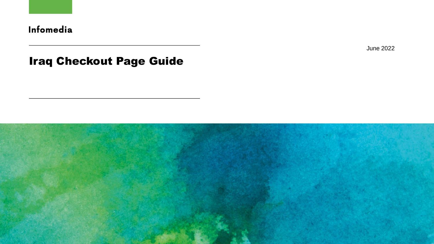

June 2022

## Iraq Checkout Page Guide

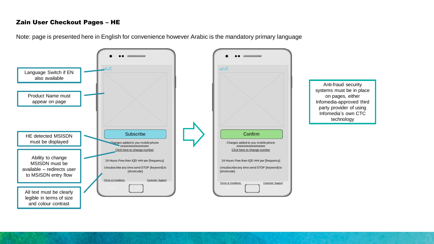## Zain User Checkout Pages – HE

Note: page is presented here in English for convenience however Arabic is the mandatory primary language